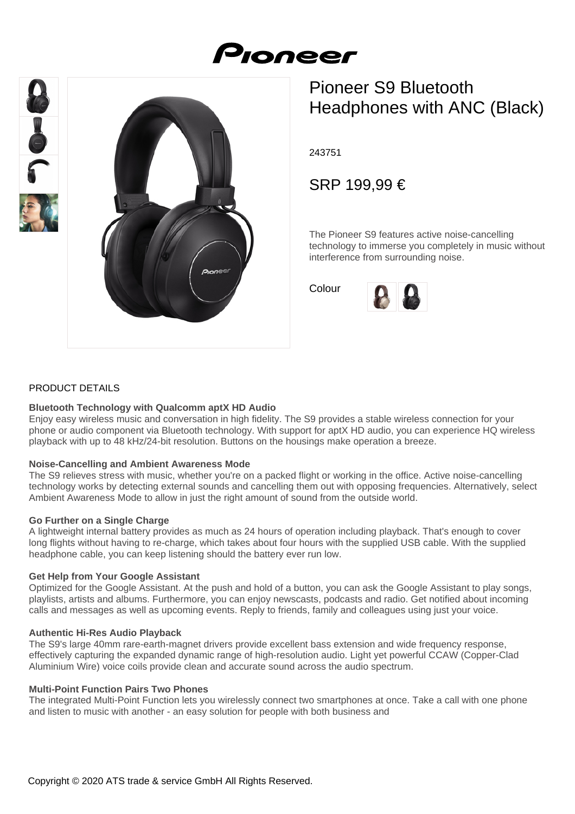# Proneer





# Pioneer S9 Bluetooth Headphones with ANC (Black)

243751

SRP 199,99 €

The Pioneer S9 features active noise-cancelling technology to immerse you completely in music without interference from surrounding noise.

Colour



#### PRODUCT DETAILS

#### **Bluetooth Technology with Qualcomm aptX HD Audio**

Enjoy easy wireless music and conversation in high fidelity. The S9 provides a stable wireless connection for your phone or audio component via Bluetooth technology. With support for aptX HD audio, you can experience HQ wireless playback with up to 48 kHz/24-bit resolution. Buttons on the housings make operation a breeze.

#### **Noise-Cancelling and Ambient Awareness Mode**

The S9 relieves stress with music, whether you're on a packed flight or working in the office. Active noise-cancelling technology works by detecting external sounds and cancelling them out with opposing frequencies. Alternatively, select Ambient Awareness Mode to allow in just the right amount of sound from the outside world.

#### **Go Further on a Single Charge**

A lightweight internal battery provides as much as 24 hours of operation including playback. That's enough to cover long flights without having to re-charge, which takes about four hours with the supplied USB cable. With the supplied headphone cable, you can keep listening should the battery ever run low.

#### **Get Help from Your Google Assistant**

Optimized for the Google Assistant. At the push and hold of a button, you can ask the Google Assistant to play songs, playlists, artists and albums. Furthermore, you can enjoy newscasts, podcasts and radio. Get notified about incoming calls and messages as well as upcoming events. Reply to friends, family and colleagues using just your voice.

#### **Authentic Hi-Res Audio Playback**

The S9's large 40mm rare-earth-magnet drivers provide excellent bass extension and wide frequency response, effectively capturing the expanded dynamic range of high-resolution audio. Light yet powerful CCAW (Copper-Clad Aluminium Wire) voice coils provide clean and accurate sound across the audio spectrum.

#### **Multi-Point Function Pairs Two Phones**

The integrated Multi-Point Function lets you wirelessly connect two smartphones at once. Take a call with one phone and listen to music with another - an easy solution for people with both business and